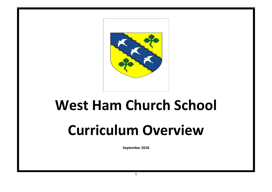

# **West Ham Church School**

## **Curriculum Overview**

**September 2018**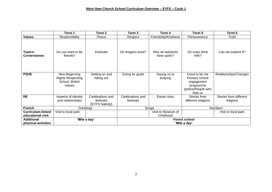|                                               | Term 1                                                                 | Term 2                                           | Term 3                               | Term 4                          | Term 5                                                                                       | Term 6                              |
|-----------------------------------------------|------------------------------------------------------------------------|--------------------------------------------------|--------------------------------------|---------------------------------|----------------------------------------------------------------------------------------------|-------------------------------------|
| <b>Values</b>                                 | Responsibility                                                         | Peace                                            | Respect                              | Friendship/Kindness             | Perseverance                                                                                 | Truth                               |
| <b>Topics-</b><br><b>Cornerstones</b>         | Do you want to be<br>friends?                                          | Festivals                                        | Do dragons exist?                    | Why do ladybirds<br>have spots? | Do cows drink<br>milk?                                                                       | Can we explore it?                  |
| <b>PSHE</b>                                   | New Beginning<br><b>Rights Respecting</b><br>School, British<br>Values | Getting on and<br>falling out                    | Going for goals                      | Saying no to<br>bullying        | Good to be me<br>Primary school<br>engagement<br>programme<br>(police) People who<br>help us | Relationships/Changes               |
| <b>RE</b>                                     | Aspects of identity<br>and relationships                               | Celebrations and<br>festivals<br>(EYFS Nativity) | Celebrations and<br>festivals        | Easter story                    | Stories from<br>different religions                                                          | Stories from different<br>religions |
| <b>French</b>                                 |                                                                        | Greetings                                        |                                      | Songs                           | <b>Numbers</b>                                                                               |                                     |
| <b>Curriculum-linked</b><br>educational visit | Visit to local park                                                    |                                                  |                                      | Visit to Museum of<br>Childhood |                                                                                              | Visit to local park                 |
| <b>Additional</b><br>physical activities      | 'Mile a day'                                                           |                                                  | <b>Forest school</b><br>'Mile a day' |                                 |                                                                                              |                                     |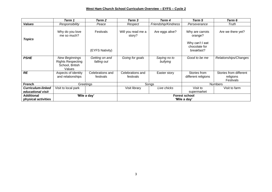#### **West Ham Church School Curriculum Overview – EYFS – Cycle 2**

|                                               | Term 1                                                                         | Term 2                        | Term 3                        | Term 4                   | Term 5                                                                       | Term 6                                           |  |
|-----------------------------------------------|--------------------------------------------------------------------------------|-------------------------------|-------------------------------|--------------------------|------------------------------------------------------------------------------|--------------------------------------------------|--|
| <b>Values</b>                                 | Responsibility                                                                 | Peace                         | Respect                       | Friendship/Kindness      | Perseverance                                                                 | Truth                                            |  |
| <b>Topics</b>                                 | Why do you love<br>me so much?                                                 | Festivals<br>(EYFS Nativity)  | Will you read me a<br>story?  | Are eggs alive?          | Why are carrots<br>orange?<br>Why can't I eat<br>chocolate for<br>breakfast? | Are we there yet?                                |  |
| <b>PSHE</b>                                   | <b>New Beginnings</b><br><b>Rights Respecting</b><br>School, British<br>Values | Getting on and<br>falling out | Going for goals               | Saying no to<br>bullying | Good to be me                                                                | Relationships/Changes                            |  |
| <b>RE</b>                                     | Aspects of identity<br>and relationships                                       | Celebrations and<br>festivals | Celebrations and<br>festivals | Easter story             | Stories from<br>different religions                                          | Stories from different<br>religions<br>Festivals |  |
| <b>French</b>                                 |                                                                                | Greetings                     |                               | Songs                    |                                                                              | <b>Numbers</b>                                   |  |
| <b>Curriculum-linked</b><br>educational visit | Visit to local park                                                            |                               | Visit library                 | Live chicks              | Visit to<br>supermarket                                                      | Visit to farm                                    |  |
| <b>Additional</b>                             |                                                                                | 'Mile a day'                  | <b>Forest school</b>          |                          |                                                                              |                                                  |  |
| physical activities                           |                                                                                |                               |                               |                          | 'Mile a day'                                                                 |                                                  |  |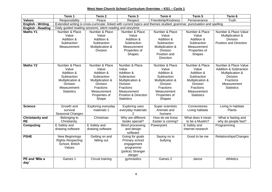#### **West Ham Church School Curriculum Overview – KS1 – Cycle 1**

|                                      | Term 1                                                                                                                          | Term 2                                                                                                                                            | Term <sub>3</sub>                                                                                                                                                               | Term 4                                                                                                                                             | Term 5                                                                                                                                       | Term 6                                                                                                                                            |  |
|--------------------------------------|---------------------------------------------------------------------------------------------------------------------------------|---------------------------------------------------------------------------------------------------------------------------------------------------|---------------------------------------------------------------------------------------------------------------------------------------------------------------------------------|----------------------------------------------------------------------------------------------------------------------------------------------------|----------------------------------------------------------------------------------------------------------------------------------------------|---------------------------------------------------------------------------------------------------------------------------------------------------|--|
| <b>Values</b>                        | Responsibility                                                                                                                  | Peace                                                                                                                                             | Respect                                                                                                                                                                         | Friendship/Kindness                                                                                                                                | Perseverance                                                                                                                                 | Truth                                                                                                                                             |  |
| <b>English - Writing</b>             |                                                                                                                                 |                                                                                                                                                   |                                                                                                                                                                                 | Extended writing is cross-curricular, linked with current topics and themes studied; grammar, punctuation and spelling                             |                                                                                                                                              |                                                                                                                                                   |  |
| <b>English - Reading</b>             | Daily guided reading sessions; silent reading and storytime                                                                     |                                                                                                                                                   |                                                                                                                                                                                 |                                                                                                                                                    |                                                                                                                                              |                                                                                                                                                   |  |
| <b>Maths Y1</b>                      | Number & Place<br>Value<br>Addition &<br>Subtraction<br>Measurement                                                             | Number & Place<br>Value<br>Addition &<br>Subtraction<br>Multiplication &<br><b>Division</b>                                                       | Number & Place<br>Value<br>Addition &<br>Subtraction<br>Measurement<br>Properties of<br>Shapes                                                                                  | Number & Place<br>Value<br>Addition &<br>Subtraction<br>Multiplication &<br>Division<br>Position and<br><b>Direction</b>                           | Number & Place<br>Value<br>Addition &<br>Subtraction<br>Measurement<br>Properties of<br>Shapes                                               | Number & Place Value<br>Multiplication &<br>Division<br>Position and Direction                                                                    |  |
| <b>Maths Y2</b>                      | Number & Place<br>Value<br>Addition &<br>Subtraction<br>Multiplication &<br><b>Division</b><br>Measurement<br><b>Statistics</b> | Number & Place<br>Value<br>Addition &<br>Subtraction<br>Multiplication &<br><b>Division</b><br>Fractions<br>Measurement<br>Properties of<br>Shape | Number & Place<br>Value<br>Addition &<br>Subtraction<br>Multiplication &<br><b>Division</b><br>Fractions<br>Measurement<br><b>Position &amp; Direction</b><br><b>Statistics</b> | Number & Place<br>Value<br>Addition &<br>Subtraction<br>Multiplication &<br><b>Division</b><br>Fractions<br>Measurement<br>Properties of<br>Shapes | Number & Place<br>Value<br>Addition &<br>Subtraction<br>Multiplication &<br><b>Division</b><br>Fractions<br>Measurement<br><b>Statistics</b> | Number & Place Value<br><b>Addition &amp; Subtraction</b><br>Multiplication &<br><b>Division</b><br>Fractions<br>Measurement<br><b>Statistics</b> |  |
| <b>Science</b>                       | Growth and<br>survival<br>Seasonal Changes                                                                                      | Exploring everyday<br>materials 1                                                                                                                 | <b>Exploring uses</b><br>everyday materials<br>$\mathcal{P}$                                                                                                                    | Super scientists<br>Animals and<br>humans                                                                                                          | Cornerstones<br>Living habitats                                                                                                              | Living in habitats<br>Plants                                                                                                                      |  |
| <b>Christianity and</b><br><b>RE</b> | Belonging to<br>Christianity.                                                                                                   | Christmas                                                                                                                                         | Why are different<br>books special?                                                                                                                                             | How do we know<br>Easter is coming?                                                                                                                | What does it mean<br>to be a Muslim?                                                                                                         | What is fasting and<br>why do people fast?                                                                                                        |  |
| <b>Computing</b>                     | E Safety and<br>drawing software                                                                                                | E Safety and<br>drawing software                                                                                                                  | Word processing<br>and design<br>software                                                                                                                                       | Powerpoint                                                                                                                                         | E Safety and<br>Internet research                                                                                                            | Programming                                                                                                                                       |  |
| <b>PSHE</b>                          | New Beginnings<br><b>Rights Respecting</b><br>School, British<br>Values                                                         | Getting on and<br>falling out                                                                                                                     | Going for goals<br>Primary school<br>engagement<br>programme<br>(police) Stranger<br>danger                                                                                     | Saying no to<br>bullying                                                                                                                           | Good to be me                                                                                                                                | Relationships/Changes                                                                                                                             |  |
| PE and 'Mile a<br>day'               | Games 1                                                                                                                         | Circuit training                                                                                                                                  | gymnastics                                                                                                                                                                      | Games 2                                                                                                                                            | dance                                                                                                                                        | <b>Athletics</b>                                                                                                                                  |  |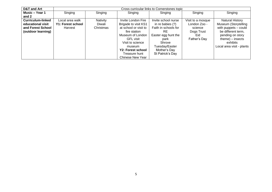| <b>D&amp;T and Art</b> | Cross curricular links to Cornerstones topic |                 |                         |                      |                   |                           |  |
|------------------------|----------------------------------------------|-----------------|-------------------------|----------------------|-------------------|---------------------------|--|
| Music – Year 1         | Singing                                      | Singing         | Singing                 | Singing              | Singing           | Singing                   |  |
| and 2                  |                                              |                 |                         |                      |                   |                           |  |
| Curriculum-linked      | Local area walk                              | <b>Nativity</b> | Invite London Fire      | Invite school nurse  | Visit to a mosque | Natural History           |  |
| educational visit      | Y1: Forest school                            | Diwali          | Brigade to visit KS1    | in re babies $(?)$   | London Zoo -      | Museum (Storytelling      |  |
| and Forest School      | Harvest                                      | Christmas       | at school or visit to   | Faith in schools for | science           | with puppets - could      |  |
| (outdoor learning)     |                                              |                 | fire station            | RE.                  | Dogs Trust        | be different term,        |  |
|                        |                                              |                 | Museum of London        | Easter egg hunt the  | Eid               | pending on story          |  |
|                        |                                              |                 | <b>GFL visit</b>        | park                 | Father's Day      | $theme) - insects$        |  |
|                        |                                              |                 | Visit to science        | Shrove               |                   | exhibits                  |  |
|                        |                                              |                 | museum                  | Tuesday/Easter       |                   | Local area visit - plants |  |
|                        |                                              |                 | Y2: Forest school       | Mother's Day         |                   |                           |  |
|                        |                                              |                 | Treasure hunt           | St Patrick's Day     |                   |                           |  |
|                        |                                              |                 | <b>Chinese New Year</b> |                      |                   |                           |  |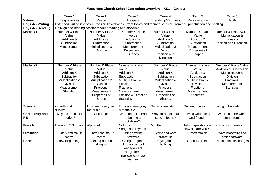**West Ham Church School Curriculum Overview – KS1 – Cycle 2** 

|                                      | Term 1                                                                                                                   | Term <sub>2</sub>                                                                                                                          | Term <sub>3</sub>                                                                                                                                                           | Term 4                                                                                                                                                           | Term 5                                                                                                                                       | Term 6                                                                                                                                            |  |  |
|--------------------------------------|--------------------------------------------------------------------------------------------------------------------------|--------------------------------------------------------------------------------------------------------------------------------------------|-----------------------------------------------------------------------------------------------------------------------------------------------------------------------------|------------------------------------------------------------------------------------------------------------------------------------------------------------------|----------------------------------------------------------------------------------------------------------------------------------------------|---------------------------------------------------------------------------------------------------------------------------------------------------|--|--|
| <b>Values</b>                        | Responsibility                                                                                                           | Peace                                                                                                                                      | Respect                                                                                                                                                                     | Friendship/Kindness                                                                                                                                              | Perseverance                                                                                                                                 | Truth                                                                                                                                             |  |  |
| <b>English - Writing</b>             |                                                                                                                          |                                                                                                                                            |                                                                                                                                                                             | Extended writing is cross-curricular, linked with current topics and themes studied; grammar, punctuation and spelling                                           |                                                                                                                                              |                                                                                                                                                   |  |  |
| <b>English - Reading</b>             | Daily guided reading sessions; silent reading and storytime                                                              |                                                                                                                                            |                                                                                                                                                                             |                                                                                                                                                                  |                                                                                                                                              |                                                                                                                                                   |  |  |
| <b>Maths Y1</b>                      | Number & Place<br>Value<br>Addition &<br>Subtraction<br>Measurement                                                      | Number & Place<br>Value<br>Addition &<br>Subtraction<br>Multiplication &<br><b>Division</b>                                                | Number & Place<br>Value<br>Addition &<br>Subtraction<br>Measurement<br>Properties of<br>Shapes                                                                              | Number & Place<br>Value<br>Addition &<br>Subtraction<br>Multiplication &<br><b>Division</b><br>Position and<br>Direction                                         | Number & Place<br>Value<br>Addition &<br>Subtraction<br>Measurement<br>Properties of<br><b>Shapes</b>                                        | Number & Place Value<br>Multiplication &<br><b>Division</b><br><b>Position and Direction</b>                                                      |  |  |
| <b>Maths Y2</b>                      | Number & Place<br>Value<br>Addition &<br>Subtraction<br>Multiplication &<br>Division<br>Measurement<br><b>Statistics</b> | Number & Place<br>Value<br>Addition &<br>Subtraction<br>Multiplication &<br>Division<br>Fractions<br>Measurement<br>Properties of<br>Shape | Number & Place<br>Value<br>Addition &<br>Subtraction<br>Multiplication &<br><b>Division</b><br><b>Fractions</b><br>Measurement<br>Position & Direction<br><b>Statistics</b> | Number & Place<br>Value<br>Addition &<br>Subtraction<br>Multiplication &<br><b>Division</b><br><b>Fractions</b><br>Measurement<br>Properties of<br><b>Shapes</b> | Number & Place<br>Value<br>Addition &<br>Subtraction<br>Multiplication &<br>Division<br><b>Fractions</b><br>Measurement<br><b>Statistics</b> | Number & Place Value<br><b>Addition &amp; Subtraction</b><br>Multiplication &<br><b>Division</b><br>Fractions<br>Measurement<br><b>Statistics</b> |  |  |
| <b>Science</b>                       | Growth and<br>survival                                                                                                   | Exploring everyday<br>materials 1                                                                                                          | Exploring everyday<br>materials 2                                                                                                                                           | Super scientists                                                                                                                                                 | Growing plants                                                                                                                               | Living in habitats                                                                                                                                |  |  |
| <b>Christianity and</b><br><b>RE</b> | Why did Jesus tell<br>stories?                                                                                           | Christmas                                                                                                                                  | What does it mean<br>to belong to<br>Sikhism?                                                                                                                               | Why do people eat<br>special foods?                                                                                                                              | Living with family<br>and friends.                                                                                                           | Where did the world<br>come from?                                                                                                                 |  |  |
| <b>French</b>                        | Recap EYFS topics                                                                                                        | Alphabet                                                                                                                                   | Colours<br>Songs and rhymes                                                                                                                                                 | Months                                                                                                                                                           | Asking questions e.g what is your name?<br>How old are you?                                                                                  |                                                                                                                                                   |  |  |
| <b>Computing</b>                     | E Safety and mouse<br>control                                                                                            | E Safety and mouse<br>control                                                                                                              | Using drawing<br>software                                                                                                                                                   | Typing and word<br>processing                                                                                                                                    | Programming                                                                                                                                  | Word processing and<br>design software                                                                                                            |  |  |
| <b>PSHE</b>                          | New Beginnings                                                                                                           | Getting on and<br>falling out                                                                                                              | Going for goals<br>Primary school<br>engagement<br>programme<br>(police) Stranger<br>danger                                                                                 | Saying no to<br>bullying                                                                                                                                         | Good to be me                                                                                                                                | Relationships/Changes                                                                                                                             |  |  |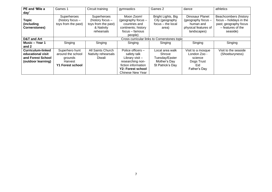| PE and 'Mile a<br>day'                                                                   | Games 1                                                                              | Circuit training                                                                   | gymnastics                                                                                                                                    | Games 2                                                                         | dance                                                                                     | athletics                                                                                                  |  |  |
|------------------------------------------------------------------------------------------|--------------------------------------------------------------------------------------|------------------------------------------------------------------------------------|-----------------------------------------------------------------------------------------------------------------------------------------------|---------------------------------------------------------------------------------|-------------------------------------------------------------------------------------------|------------------------------------------------------------------------------------------------------------|--|--|
| <b>Topic</b><br>(including<br>Cornerstones)                                              | Superheroes<br>(history focus -<br>toys from the past)                               | Superheroes<br>(history focus -<br>toys from the past)<br>& Nativity<br>rehearsals | Moon Zoom!<br>(geography focus -<br>countries and<br>continents; history<br>focus – famous<br>people)                                         | Bright Lights, Big<br>City (geography<br>focus - the local<br>area)             | Dinosaur Planet<br>(geography focus -<br>human and<br>physical features of<br>landscapes) | Beachcombers (history<br>focus - holidays in the<br>past; geography focus<br>- features of the<br>seaside) |  |  |
| <b>D&amp;T and Art</b>                                                                   | Cross curricular links to Cornerstones topic                                         |                                                                                    |                                                                                                                                               |                                                                                 |                                                                                           |                                                                                                            |  |  |
| Music - Year 1<br>and 2                                                                  | Singing                                                                              | Singing                                                                            | Singing                                                                                                                                       | Singing                                                                         | Singing                                                                                   | Singing                                                                                                    |  |  |
| <b>Curriculum-linked</b><br>educational visit<br>and Forest School<br>(outdoor learning) | Superhero hunt<br>around the school<br>grounds<br>Harvest<br><b>Y1 Forest school</b> | All Saints Church<br>Nativity rehearsals<br>Diwali                                 | Police officers -<br>safety talk<br>Library visit-<br>researching non-<br>fiction information<br>Y2: Forest school<br><b>Chinese New Year</b> | Local area walk<br>Shrove<br>Tuesday/Easter<br>Mother's Day<br>St Patrick's Day | Visit to a mosque<br>London Zoo -<br>science<br>Dogs Trust<br>Eid<br>Father's Day         | Visit to the seaside<br>(Shoeburyness)                                                                     |  |  |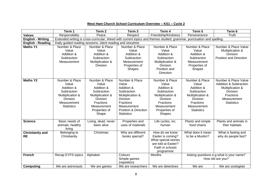### **West Ham Church School Curriculum Overview – KS1 – Cycle 2**

|                                      | Term 1                                                                                                                          | Term <sub>2</sub>                                                                                                                                 | Term <sub>3</sub>                                                                                                                                                                      | Term 4                                                                                                                                                           | Term 5                                                                                                                                              | Term 6                                                                                                                                                   |  |  |
|--------------------------------------|---------------------------------------------------------------------------------------------------------------------------------|---------------------------------------------------------------------------------------------------------------------------------------------------|----------------------------------------------------------------------------------------------------------------------------------------------------------------------------------------|------------------------------------------------------------------------------------------------------------------------------------------------------------------|-----------------------------------------------------------------------------------------------------------------------------------------------------|----------------------------------------------------------------------------------------------------------------------------------------------------------|--|--|
| <b>Values</b>                        | Responsibility                                                                                                                  | Peace                                                                                                                                             | Respect                                                                                                                                                                                | Friendship/Kindness                                                                                                                                              | Perseverance                                                                                                                                        | Truth                                                                                                                                                    |  |  |
| <b>English - Writing</b>             |                                                                                                                                 |                                                                                                                                                   |                                                                                                                                                                                        | Extended writing is cross-curricular, linked with current topics and themes studied; grammar, punctuation and spelling                                           |                                                                                                                                                     |                                                                                                                                                          |  |  |
| <b>English - Reading</b>             | Daily guided reading sessions; silent reading and storytime                                                                     |                                                                                                                                                   |                                                                                                                                                                                        |                                                                                                                                                                  |                                                                                                                                                     |                                                                                                                                                          |  |  |
| <b>Maths Y1</b>                      | Number & Place<br>Value<br>Addition &<br>Subtraction<br>Measurement                                                             | Number & Place<br>Value<br>Addition &<br>Subtraction<br>Multiplication &<br>Division                                                              | Number & Place<br>Value<br>Addition &<br>Subtraction<br>Measurement<br>Properties of<br><b>Shapes</b>                                                                                  | Number & Place<br>Value<br>Addition &<br>Subtraction<br>Multiplication &<br><b>Division</b><br>Position and<br><b>Direction</b>                                  | Number & Place<br>Value<br>Addition &<br>Subtraction<br>Measurement<br>Properties of<br><b>Shapes</b>                                               | Number & Place Value<br>Multiplication &<br><b>Division</b><br>Position and Direction                                                                    |  |  |
| <b>Maths Y2</b>                      | Number & Place<br>Value<br>Addition &<br>Subtraction<br>Multiplication &<br><b>Division</b><br>Measurement<br><b>Statistics</b> | Number & Place<br>Value<br>Addition &<br>Subtraction<br>Multiplication &<br><b>Division</b><br>Fractions<br>Measurement<br>Properties of<br>Shape | Number & Place<br>Value<br>Addition &<br>Subtraction<br>Multiplication &<br><b>Division</b><br><b>Fractions</b><br>Measurement<br><b>Position &amp; Direction</b><br><b>Statistics</b> | Number & Place<br>Value<br>Addition &<br>Subtraction<br>Multiplication &<br><b>Division</b><br><b>Fractions</b><br>Measurement<br>Properties of<br><b>Shapes</b> | Number & Place<br>Value<br>Addition &<br>Subtraction<br>Multiplication &<br><b>Division</b><br><b>Fractions</b><br>Measurement<br><b>Statistics</b> | Number & Place Value<br><b>Addition &amp; Subtraction</b><br>Multiplication &<br><b>Division</b><br><b>Fractions</b><br>Measurement<br><b>Statistics</b> |  |  |
| <b>Science</b>                       | Basic needs of<br>animals; healthy<br>living                                                                                    | Living, dead, never<br>been alive                                                                                                                 | Properties and<br>uses of materials                                                                                                                                                    | Life cycles, inc.<br>human                                                                                                                                       | Plants and simple<br>food chains                                                                                                                    | Plants and animals in<br>their habitats                                                                                                                  |  |  |
| <b>Christianity and</b><br><b>RE</b> | Belonging to<br>Christianity                                                                                                    | Christmas                                                                                                                                         | Why are different<br>books special?                                                                                                                                                    | How do we know<br>Easter is coming?<br>What special stories<br>are told at Easter?<br>Faith in schools<br>programme                                              | What does it mean<br>to be a Muslim?                                                                                                                | What is fasting and<br>why do people fast?                                                                                                               |  |  |
| <b>French</b>                        | Recap EYFS topics                                                                                                               | Alphabet                                                                                                                                          | Colours<br>Simple games<br>(repetition)                                                                                                                                                | Months                                                                                                                                                           | Asking questions e.g what is your name?<br>How old are you?                                                                                         |                                                                                                                                                          |  |  |
| <b>Computing</b>                     | We are astronauts                                                                                                               | We are games                                                                                                                                      | We are researchers                                                                                                                                                                     | We are detectives                                                                                                                                                | We are                                                                                                                                              | We are zoologists                                                                                                                                        |  |  |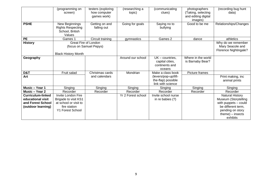|                                                                                   | (programming on<br>screen)                                                                                     | testers (exploring<br>how computer<br>games work) | (researching a<br>topic) | (communicating<br>clues)                                         | photographers<br>(Taking, selecting<br>and editing digital<br>images) | (recording bug hunt<br>data)                                                                                                                       |
|-----------------------------------------------------------------------------------|----------------------------------------------------------------------------------------------------------------|---------------------------------------------------|--------------------------|------------------------------------------------------------------|-----------------------------------------------------------------------|----------------------------------------------------------------------------------------------------------------------------------------------------|
| <b>PSHE</b>                                                                       | New Beginnings<br><b>Rights Respecting</b><br>School, British<br>Values                                        | Getting on and<br>falling out                     | Going for goals          | Saying no to<br>bullying                                         | Good to be me                                                         | Relationships/Changes                                                                                                                              |
| <b>PE</b>                                                                         | Games 1                                                                                                        | Circuit training                                  | gymnastics               | Games 2                                                          | dance                                                                 | athletics                                                                                                                                          |
| <b>History</b>                                                                    | Great Fire of London<br>(focus on Samuel Pepys)<br><b>Black History Month</b>                                  |                                                   |                          |                                                                  |                                                                       | Why do we remember<br>Mary Seacole and<br>Florence Nightingale?                                                                                    |
| Geography                                                                         |                                                                                                                |                                                   | Around our school        | $UK$ – countries,<br>capital cities,<br>continents and<br>oceans | Where in the world<br>is Barnaby Bear?                                |                                                                                                                                                    |
| D&T                                                                               | Fruit salad                                                                                                    | Christmas cards                                   | Mondrian                 | Make a class book                                                | Picture frames                                                        |                                                                                                                                                    |
| Art                                                                               |                                                                                                                | and calendars                                     |                          | (levers/pop-up/lift-<br>the-flap) possible<br>link with science  |                                                                       | Print making, inc<br>animal prints                                                                                                                 |
| Music - Year 1                                                                    | Singing                                                                                                        | Singing                                           | Singing                  | Singing                                                          | Singing                                                               | Singing                                                                                                                                            |
| Music - Year 2                                                                    | Recorder                                                                                                       | Recorder                                          | Recorder                 | Recorder                                                         | Recorder                                                              | Recorder                                                                                                                                           |
| Curriculum-linked<br>educational visit<br>and Forest School<br>(outdoor learning) | Invite London Fire<br>Brigade to visit KS1<br>at school or visit to<br>fire station<br><b>Y1 Forest School</b> |                                                   | Yr 2 Forest school       | Invite school nurse<br>in re babies (?)                          |                                                                       | <b>Natural History</b><br>Museum (Storytelling<br>with puppets - could<br>be different term,<br>pending on story<br>$theme) - insects$<br>exhibits |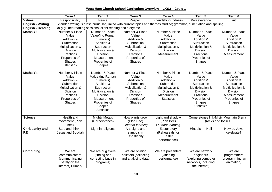**West Ham Church School Curriculum Overview – LKS2 – Cycle 1**

|                          | Term 1                                                      | Term 2                  | Term 3                | Term 4              | Term 5                                                                                                                 | Term 6                                  |  |
|--------------------------|-------------------------------------------------------------|-------------------------|-----------------------|---------------------|------------------------------------------------------------------------------------------------------------------------|-----------------------------------------|--|
| <b>Values</b>            | Responsibility                                              | Peace                   | Respect               | Friendship/Kindness | Perseverance                                                                                                           | Truth                                   |  |
| <b>English - Writing</b> |                                                             |                         |                       |                     | Extended writing is cross-curricular, linked with current topics and themes studied; grammar, punctuation and spelling |                                         |  |
| <b>English - Reading</b> | Daily guided reading sessions; silent reading and storytime |                         |                       |                     |                                                                                                                        |                                         |  |
| <b>Maths Y3</b>          | Number & Place                                              | Number & Place          | Number & Place        | Number & Place      | Number & Place                                                                                                         | Number & Place                          |  |
|                          | Value                                                       | Value(inc Roman         | Value                 | Value               | Value                                                                                                                  | Value                                   |  |
|                          | Addition &                                                  | numerals)               | Addition &            | Addition &          | Addition &                                                                                                             | Addition &                              |  |
|                          | Subtraction                                                 | Addition &              | Subtraction           | Subtraction         | Subtraction                                                                                                            | Subtraction                             |  |
|                          | Multiplication &                                            | Subtraction             | Multiplication &      | Multiplication &    | Multiplication &                                                                                                       | Multiplication &                        |  |
|                          | <b>Division</b>                                             | Multiplication &        | Division              | Division            | Division                                                                                                               | <b>Division</b>                         |  |
|                          | Fractions                                                   | <b>Division</b>         | <b>Fractions</b>      | Measurement         | Fractions                                                                                                              | Measurement                             |  |
|                          | Properties of                                               | Measurement             | Properties of         |                     | Properties of                                                                                                          |                                         |  |
|                          | Shapes                                                      | Properties of           | <b>Shapes</b>         |                     | <b>Shapes</b>                                                                                                          |                                         |  |
|                          | <b>Statistics</b>                                           | <b>Shapes</b>           |                       |                     |                                                                                                                        |                                         |  |
| <b>Maths Y4</b>          | Number & Place                                              | Number & Place          | Number & Place        | Number & Place      | Number & Place                                                                                                         | Number & Place                          |  |
|                          | Value                                                       | Value (inc Roman        | Value                 | Value               | Value                                                                                                                  | Value                                   |  |
|                          | Addition &                                                  | numerals)               | Addition &            | Addition &          | Addition &                                                                                                             | Addition &                              |  |
|                          | Subtraction                                                 | Addition &              | Subtraction           | Subtraction         | Subtraction                                                                                                            | Subtraction                             |  |
|                          | Multiplication &                                            | Subtraction             | Multiplication &      | Multiplication &    | Multiplication &                                                                                                       | Multiplication &                        |  |
|                          | <b>Division</b>                                             | Multiplication &        | Division              | Division            | Division                                                                                                               | Division                                |  |
|                          | Fractions                                                   | Division                | <b>Fractions</b>      | Measurement         | Fractions                                                                                                              | Measurement                             |  |
|                          | Properties of                                               | Measurement             | Properties of         | <b>Statistics</b>   | Properties of                                                                                                          | Properties of                           |  |
|                          | Shapes                                                      | Properties of<br>Shapes | <b>Shapes</b>         |                     | <b>Shapes</b>                                                                                                          | Shapes                                  |  |
|                          |                                                             | <b>Statistics</b>       |                       |                     | <b>Statistics</b>                                                                                                      |                                         |  |
|                          |                                                             |                         |                       |                     |                                                                                                                        |                                         |  |
| <b>Science</b>           | <b>Health and</b>                                           | <b>Mighty Metals</b>    | How plants grow       | Light and shadow    |                                                                                                                        | Cornerstones link-Misty Mountain Sierra |  |
|                          | movement (Plan                                              | (Cornerstones)          | (Plan Bee)            | (Plan Bee)          |                                                                                                                        | (rocks and fossils                      |  |
|                          | Bee)                                                        |                         | Outdoor learning      | Outdoor learning    |                                                                                                                        |                                         |  |
| <b>Christianity and</b>  | Stop and think -                                            | Light in religions      | Art, signs and        | Easter story        | Hinduism - Holi                                                                                                        | How do Jews                             |  |
| <b>RE</b>                | Jesus and Buddah                                            |                         | symbols in            | (Rehearsals for     |                                                                                                                        | celebrate?                              |  |
|                          |                                                             |                         | Christianity          | Easter              |                                                                                                                        |                                         |  |
|                          |                                                             |                         |                       | performance)        |                                                                                                                        |                                         |  |
|                          |                                                             |                         |                       |                     |                                                                                                                        |                                         |  |
| <b>Computing</b>         | We are                                                      | We are bug fixers       | We are opinion        | We are presenters   | We are network                                                                                                         | We are                                  |  |
|                          | communicators                                               | (finding and            | pollsters (collecting | (videoing           | engineers                                                                                                              | programmers                             |  |
|                          | (communicating                                              | correcting bugs in      | and analysing data)   | performance)        | (exploring computer                                                                                                    | (programming an                         |  |
|                          | safely on the                                               | programs)               |                       |                     | networks, including                                                                                                    | animation)                              |  |
|                          | internet) Primary                                           |                         |                       |                     | the internet)                                                                                                          |                                         |  |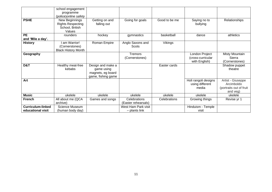|                          | school engagement                                                       |                                                                            |                                     |               |                                                      |                                                                        |
|--------------------------|-------------------------------------------------------------------------|----------------------------------------------------------------------------|-------------------------------------|---------------|------------------------------------------------------|------------------------------------------------------------------------|
|                          | programme<br>(police) online safety                                     |                                                                            |                                     |               |                                                      |                                                                        |
| <b>PSHE</b>              | New Beginnings<br><b>Rights Respecting</b><br>School, British<br>Values | Getting on and<br>falling out                                              | Going for goals                     | Good to be me | Saying no to<br>bullying                             | Relationships                                                          |
| <b>PE</b>                | rounders                                                                | hockey                                                                     | gymnastics                          | basketball    | dance                                                | athletics                                                              |
| and 'Mile a day'.        |                                                                         |                                                                            |                                     |               |                                                      |                                                                        |
| <b>History</b>           | am Warrior!<br>(Cornerstones)<br><b>Black History Month</b>             | Roman Empire                                                               | Anglo Saxons and<br>Scots           | Vikings       |                                                      |                                                                        |
| Geography                |                                                                         |                                                                            | <b>Tremors</b><br>(Cornerstones)    |               | London Project<br>(cross-curricular<br>with English) | Misty Mountain<br>Sierra<br>(Cornerstones)                             |
| D&T                      | Healthy meat-free<br>kebabs                                             | Design and make a<br>game using<br>magnets, eg board<br>game, fishing game |                                     | Easter cards  |                                                      | Shadow puppet<br>theatre                                               |
| Art                      |                                                                         |                                                                            |                                     |               | Holi rangoli designs<br>using different<br>media     | Artist - Giuseppe<br>Arcimboldo<br>(portraits out of fruit<br>and veg) |
| <b>Music</b>             | ukelele                                                                 | ukelele                                                                    | ukelele                             | ukelele       | ukelele                                              | ukelele                                                                |
| <b>French</b>            | All about me (QCA<br>archive)                                           | Games and songs                                                            | Celebrations<br>(Easter rehearsals) | Celebrations  | Growing things                                       | Revise yr 1                                                            |
| <b>Curriculum-linked</b> | Science Museum                                                          |                                                                            | West Ham Park visit                 |               | Hinduism - Temple                                    |                                                                        |
| educational visit        | (human body day)                                                        |                                                                            | - plants link                       |               | visit                                                |                                                                        |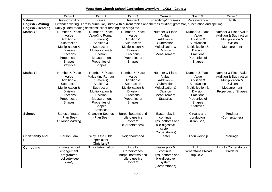**West Ham Church School Curriculum Overview – LKS2 – Cycle 2**

|                                      | Term 1                                                      | Term <sub>2</sub>      | Term 3             | Term 4                                                                                                                 | Term 5                   | Term 6                            |  |
|--------------------------------------|-------------------------------------------------------------|------------------------|--------------------|------------------------------------------------------------------------------------------------------------------------|--------------------------|-----------------------------------|--|
| <b>Values</b>                        | Responsibility                                              | Peace                  | Respect            | Friendship/Kindness                                                                                                    | Perseverance             | Truth                             |  |
| <b>English - Writing</b>             |                                                             |                        |                    | Extended writing is cross-curricular, linked with current topics and themes studied; grammar, punctuation and spelling |                          |                                   |  |
| <b>English - Reading</b>             | Daily guided reading sessions; silent reading and storytime |                        |                    |                                                                                                                        |                          |                                   |  |
| <b>Maths Y3</b>                      | Number & Place                                              | Number & Place         | Number & Place     | Number & Place                                                                                                         | Number & Place           | Number & Place Value              |  |
|                                      | Value                                                       | Value(inc Roman        | Value              | Value                                                                                                                  | Value                    | <b>Addition &amp; Subtraction</b> |  |
|                                      | Addition &                                                  | numerals)              | Addition &         | Addition &                                                                                                             | Addition &               | Multiplication &                  |  |
|                                      | Subtraction                                                 | Addition &             | Subtraction        | Subtraction                                                                                                            | Subtraction              | <b>Division</b>                   |  |
|                                      | Multiplication &                                            | Subtraction            | Multiplication &   | Multiplication &                                                                                                       | Multiplication &         | Measurement                       |  |
|                                      | <b>Division</b>                                             | Multiplication &       | Division           | <b>Division</b>                                                                                                        | <b>Division</b>          |                                   |  |
|                                      | <b>Fractions</b>                                            | Division               | Fractions          | Measurement                                                                                                            | Fractions                |                                   |  |
|                                      | Properties of                                               | Measurement            | Properties of      |                                                                                                                        | Properties of            |                                   |  |
|                                      | Shapes                                                      | Properties of          | Shapes             |                                                                                                                        | <b>Shapes</b>            |                                   |  |
|                                      | <b>Statistics</b>                                           | <b>Shapes</b>          |                    |                                                                                                                        |                          |                                   |  |
| <b>Maths Y4</b>                      | Number & Place                                              | Number & Place         | Number & Place     | Number & Place                                                                                                         | Number & Place           | Number & Place Value              |  |
|                                      | Value                                                       | Value (inc Roman       | Value              | Value                                                                                                                  | Value                    | <b>Addition &amp; Subtraction</b> |  |
|                                      | Addition &                                                  | numerals)              | Addition &         | Addition &                                                                                                             | Addition &               | Multiplication &                  |  |
|                                      | Subtraction                                                 | Addition &             | Subtraction        | Subtraction                                                                                                            | Subtraction              | <b>Division</b>                   |  |
|                                      | Multiplication &                                            | Subtraction            | Multiplication &   | Multiplication &                                                                                                       | Multiplication &         | Measurement                       |  |
|                                      | <b>Division</b>                                             | Multiplication &       | <b>Division</b>    | <b>Division</b>                                                                                                        | <b>Division</b>          | <b>Properties of Shapes</b>       |  |
|                                      | <b>Fractions</b>                                            | <b>Division</b>        | <b>Fractions</b>   | Measurement                                                                                                            | <b>Fractions</b>         |                                   |  |
|                                      | Properties of                                               | Measurement            | Properties of      | <b>Statistics</b>                                                                                                      | Properties of            |                                   |  |
|                                      | Shapes                                                      | Properties of          | Shapes             |                                                                                                                        | Shapes                   |                                   |  |
|                                      |                                                             | Shapes                 |                    |                                                                                                                        | <b>Statistics</b>        |                                   |  |
|                                      |                                                             | <b>Statistics</b>      |                    |                                                                                                                        |                          |                                   |  |
| <b>Science</b>                       | States of matter                                            | <b>Changing Sounds</b> | Burps, bottoms and | Easter play&                                                                                                           | Circuits and             | Predator                          |  |
|                                      | (Plan Bee)                                                  | (Plan Bee)             | bile-digestive     | continue                                                                                                               | conductors               | (Cornerstones)                    |  |
|                                      | Outdoor learning                                            |                        | system             | Burps, bottoms and                                                                                                     | (Plan Bee)               |                                   |  |
|                                      |                                                             |                        | (Cornerstones)     | bile-digestive                                                                                                         |                          |                                   |  |
|                                      |                                                             |                        |                    | system                                                                                                                 |                          |                                   |  |
|                                      | Person I am                                                 | Why is the Bible       | Neighbourhood      | (Cornerstones)<br>Easter                                                                                               | Hindu worship            |                                   |  |
| <b>Christianity and</b><br><b>RE</b> |                                                             | special for            |                    |                                                                                                                        |                          | Marriage                          |  |
|                                      |                                                             | Christians?            |                    |                                                                                                                        |                          |                                   |  |
| <b>Computing</b>                     | Primary school                                              | Scratch-Animation      | Link to            | Easter play &                                                                                                          | Link to                  | <b>Link to Cornerstones</b>       |  |
|                                      | engagement                                                  |                        | Cornerstones       | continue                                                                                                               | <b>Cornerstones Road</b> | Predator                          |  |
|                                      | programme                                                   |                        | Burps, bottoms and | Burps, bottoms and                                                                                                     | trip USA!                |                                   |  |
|                                      | (police) online                                             |                        | bile-digestive     | bile-digestive                                                                                                         |                          |                                   |  |
|                                      | safety                                                      |                        | system             | system                                                                                                                 |                          |                                   |  |
|                                      |                                                             |                        |                    | (Cornerstones)                                                                                                         |                          |                                   |  |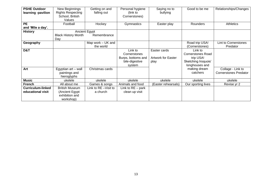| <b>PSHE Outdoor</b><br>learning -pavilion     | New Beginnings<br><b>Rights Respecting</b><br>School, British<br>Values | Getting on and<br>falling out     | Personal hygiene<br>(link to<br>Cornerstones)                             | Saying no to<br>bullying                          | Good to be me                                                                             | Relationships/Changes                             |
|-----------------------------------------------|-------------------------------------------------------------------------|-----------------------------------|---------------------------------------------------------------------------|---------------------------------------------------|-------------------------------------------------------------------------------------------|---------------------------------------------------|
| <b>PE</b><br>and 'Mile a day'.                | Football                                                                | Hockey                            | Gymnastics                                                                | Easter play                                       | <b>Rounders</b>                                                                           | Athletics                                         |
| <b>History</b>                                | <b>Black History Month</b><br>Day                                       | Ancient Egypt<br>Remembrance      |                                                                           |                                                   |                                                                                           |                                                   |
| Geography                                     |                                                                         | Map work – UK and<br>the world    |                                                                           |                                                   | Road trip USA!<br>(Cornerstones)                                                          | Lint to Cornerstones<br>Predator                  |
| D&T                                           |                                                                         |                                   | Link to<br>Cornerstones<br>Burps, bottoms and<br>bile-digestive<br>system | Easter cards<br><b>Artwork for Easter</b><br>play | Link to<br><b>Cornerstones Road</b><br>trip USA!<br>Sketching Iroquois'<br>longhouses and |                                                   |
| Art                                           | Egyptian art - wall<br>paintings and<br>hieroglyphs                     | Christmas cards                   |                                                                           |                                                   | making dream<br>catchers                                                                  | Collage - Link to<br><b>Cornerstones Predator</b> |
| <b>Music</b>                                  | ukelele                                                                 | ukelele                           | ukelele                                                                   | ukelele                                           | ukelele                                                                                   | ukelele                                           |
| <b>French</b>                                 | All about me                                                            | Games & songs                     | Animals and food                                                          | (Easter rehearsals)                               | Our sporting lives                                                                        | Revise yr 2                                       |
| <b>Curriculum-linked</b><br>educational visit | <b>British Museum</b><br>(Ancient Egypt<br>exhibition and<br>workshop)  | Link to RE - Visit to<br>a church | Link to $RE - park$<br>clean up visit                                     |                                                   |                                                                                           |                                                   |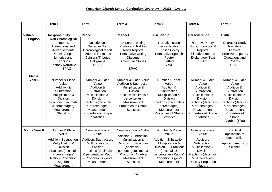|                        | Term 1                                                                                                                                                                                   | Term <sub>2</sub>                                                                                                                                                                               | Term <sub>3</sub>                                                                                                                                                                                                 | Term 4                                                                                                                                                                                                 | Term 5                                                                                                                                                                                                        | Term 6                                                                                                                                                                                                |
|------------------------|------------------------------------------------------------------------------------------------------------------------------------------------------------------------------------------|-------------------------------------------------------------------------------------------------------------------------------------------------------------------------------------------------|-------------------------------------------------------------------------------------------------------------------------------------------------------------------------------------------------------------------|--------------------------------------------------------------------------------------------------------------------------------------------------------------------------------------------------------|---------------------------------------------------------------------------------------------------------------------------------------------------------------------------------------------------------------|-------------------------------------------------------------------------------------------------------------------------------------------------------------------------------------------------------|
|                        |                                                                                                                                                                                          |                                                                                                                                                                                                 |                                                                                                                                                                                                                   |                                                                                                                                                                                                        |                                                                                                                                                                                                               |                                                                                                                                                                                                       |
| <b>Values</b>          | <b>Responsibility</b>                                                                                                                                                                    | Peace                                                                                                                                                                                           | <b>Respect</b>                                                                                                                                                                                                    | Friendship                                                                                                                                                                                             | Perseverance                                                                                                                                                                                                  | <b>Truth</b>                                                                                                                                                                                          |
| <b>English</b>         | Non-Chronological<br>Reports<br>Instructions and<br>Advertisements<br><b>Comic Strips</b><br>Limerics and<br>Kennings<br><b>Fantasy Narrative</b><br><b>SPAG</b>                         | Descriptions<br>Narrative Non<br>Chronological report<br><b>Adverts Facts and</b><br>Opinions/Tributes<br>Calligrams<br><b>SPAG</b>                                                             | 1 <sup>st</sup> person writing<br>Poetry and Riddles<br><b>News Reports</b><br>Persuasive writing<br>Dialogue<br><b>Adventure Stories</b><br><b>SPAG</b>                                                          | Narrative using<br>personification<br><b>English Poetry</b><br>Persuasive Speech<br>Poetry<br>Letters<br><b>SPAG</b>                                                                                   | <b>NarrativePoetry</b><br>Non Chronological<br>Reports<br>historical reports<br><b>Explanatory Text</b><br><b>SPAG</b>                                                                                        | <b>Character Study</b><br>Narrative<br>Leaflets<br>Free Verse poetry<br>Quotations and<br>Poems<br><b>SPAG</b>                                                                                        |
| <b>Maths</b><br>Year 5 | Number & Place<br>Value<br>Addition &<br>Subtraction<br>Multiplication &<br><b>Division</b><br><b>Fractions (decimals</b><br>& percentages)<br>Measurement<br><b>Statistics</b>          | Number & Place<br>Value<br>Addition &<br>Subtraction<br>Multiplication &<br><b>Division</b><br>Fractions (decimals<br>& percentages)<br>Measurement<br>Properties of Shape<br><b>Statistics</b> | Number & Place Value<br><b>Addition &amp; Subtraction</b><br>Multiplication &<br><b>Division</b><br>Fractions (decimals &<br>percentages)<br>Measurement<br>Properties of Shape<br><b>Statistics</b>              | Number & Place<br>Value<br>Addition &<br>Subtraction<br>Multiplication &<br><b>Division</b><br>Fractions (decimals &<br>percentages)<br>Measurement<br><b>Properties of Shape</b><br><b>Statistics</b> | Number & Place<br>Value<br>Addition &<br>Subtraction<br>Multiplication &<br><b>Division</b><br><b>Fractions (decimals</b><br>& percentages)<br>Measurement<br><b>Properties of Shape</b><br><b>Statistics</b> | Number & Place<br>Value<br>Addition &<br>Subtraction<br>Multiplication &<br><b>Division</b><br><b>Fractions (decimals</b><br>& percentages)<br>Measurement<br>Properties of<br>Shape<br>Algebra (YR6) |
| <b>Maths Year 6</b>    | Number & Place<br>Value<br>Addition, Subtraction,<br>Multiplication &<br><b>Division</b><br><b>Fractions (decimals</b><br>& percentages)<br>Ratio & Proportion<br>Algebra<br>Measurement | Number & Place<br>Value<br>Addition, Subtraction,<br>Multiplication &<br><b>Division</b><br>Fractions (decimals<br>& percentages Ratio<br>& Proportion Algebra<br>Measurement                   | Number & Place Value<br>Addition, Subtraction,<br>Multiplication &<br><b>Division</b><br><b>Fractions</b><br>(decimals &<br>percentages) Ratio &<br><b>Proportion Algebra</b><br>Measurement<br><b>Statistics</b> | Number & Place<br>Value<br>Addition, Subtraction,<br>Multiplication &<br>Fractions<br><b>Division</b><br>(decimals &<br>percentages) Ratio &<br>Proportion Algebra<br>Measurement                      | Number & Place<br>Value<br>Addition,<br>Subtraction,<br>Multiplication &<br>Division<br><b>Fractions (decimals</b><br>& percentages)<br>Ratio & Proportion<br>Algebra                                         | Practical<br>application of<br>maths skills<br>Applying maths to<br>Science                                                                                                                           |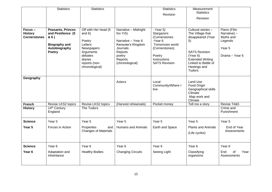|                                                 | <b>Statistics</b>                                                                                        | <b>Statistics</b>                                                                                                                         |                                                                                                                                            | <b>Statistics</b><br>Revision                                                                                                                | Measurement<br><b>Statistics</b><br>Revision                                                                                                                                       |                                                                                   |
|-------------------------------------------------|----------------------------------------------------------------------------------------------------------|-------------------------------------------------------------------------------------------------------------------------------------------|--------------------------------------------------------------------------------------------------------------------------------------------|----------------------------------------------------------------------------------------------------------------------------------------------|------------------------------------------------------------------------------------------------------------------------------------------------------------------------------------|-----------------------------------------------------------------------------------|
| Focus-<br><b>History</b><br><b>Cornerstones</b> | <b>Peasants, Princes</b><br>and Pestilence (5<br>& 6)<br><b>Biography and</b><br>Autobiography<br>Poetry | Off with Her head (5<br>and $6)$<br>Poetry<br>Letters<br>Newspapers<br>Arguments<br>debates<br>diaries<br>reports (non-<br>chronological) | Narrative - Midnight<br>fox Yr5)<br>Narrative - Year 6<br>Kensuke's Kingdom<br>Journals<br>Reports<br>poetry<br>Reports<br>(chronological) | $-$ Year 5)<br>Stargazers<br>(Cornerstones<br>-Year 6<br>Tomorrows world<br>(Cornerstones)<br>Poetry<br>Instructions<br><b>SATS Revision</b> | Cultural stories -<br>The Village that<br>disappeared (Year<br>5)<br><b>SATS Revision</b><br>(Year 6)<br><b>Extended Writing</b><br>Linked to Battle of<br>Hastings and<br>Tudors. | Piano (Film<br>Narrative) $-$<br>Myths and<br>Legends<br>Year 5<br>Drama - Year 6 |
| Geography                                       |                                                                                                          |                                                                                                                                           | Aztecs                                                                                                                                     | Local<br>Community/Where I<br>live                                                                                                           | Land Use<br>Food Origin<br>Geographical skills<br>Climate<br>Map work and<br>Climate                                                                                               |                                                                                   |
| <b>French</b><br><b>History</b>                 | Revise LKS2 topics<br>14 <sup>th</sup> Century                                                           | Revise LKS2 topics<br>The Tudors                                                                                                          | (Harvest rehearsals)                                                                                                                       | Pocket money                                                                                                                                 | Tell me a story                                                                                                                                                                    | Revise T4&5<br>Crime and                                                          |
|                                                 | England                                                                                                  |                                                                                                                                           |                                                                                                                                            |                                                                                                                                              |                                                                                                                                                                                    | Punishment                                                                        |
| <b>Science</b>                                  | Year 5                                                                                                   | Year <sub>5</sub>                                                                                                                         | Year 5                                                                                                                                     | Year <sub>5</sub>                                                                                                                            | Year 5                                                                                                                                                                             | Year 5                                                                            |
| Year 5                                          | Forces in Action                                                                                         | Properties<br>and<br><b>Changes of Materials</b>                                                                                          | <b>Humans and Animals</b>                                                                                                                  | Earth and Space                                                                                                                              | <b>Plants and Animals</b><br>(Life cycles)                                                                                                                                         | End of Year<br>Assessments                                                        |
| <b>Science</b>                                  | Year <sub>6</sub>                                                                                        | Year <sub>6</sub>                                                                                                                         | Year <sub>6</sub>                                                                                                                          | Year <sub>6</sub>                                                                                                                            | Year <sub>6</sub>                                                                                                                                                                  | Year <sub>6</sub>                                                                 |
| Year <sub>6</sub>                               | Adaptation and<br>Inheritance                                                                            | <b>Healthy Bodies</b>                                                                                                                     | <b>Changing Circuits</b>                                                                                                                   | Seeing Light                                                                                                                                 | Classifying<br>organisms                                                                                                                                                           | End<br>Year<br>0f<br>Assessments                                                  |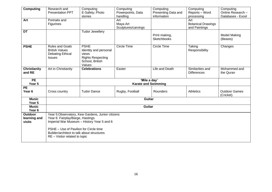| <b>Computing</b>                         | Research and<br><b>Presentation PPT</b>                                                                                             | Computing<br>E-Safety; Photo<br>stories                                                                | Computing<br>Powerpoints, Data<br>handling | Computing<br>Presenting Data and<br>information | Computing<br>Reports - Word<br>processing         | Computing<br>Online Research -<br>Databases - Excel |
|------------------------------------------|-------------------------------------------------------------------------------------------------------------------------------------|--------------------------------------------------------------------------------------------------------|--------------------------------------------|-------------------------------------------------|---------------------------------------------------|-----------------------------------------------------|
| Art                                      | Portraits and<br>Figurines                                                                                                          |                                                                                                        | Art<br>Maya Art<br>Sculptures/carvings     |                                                 | Art<br><b>Botanical Drawings</b><br>and Paintings |                                                     |
| <b>DT</b>                                |                                                                                                                                     | <b>Tudor Jewellery</b>                                                                                 |                                            | Print making,<br><b>Sketchbooks</b>             |                                                   | <b>Model Making</b><br>(Beasts)                     |
| <b>PSHE</b>                              | <b>Rules and Goals</b><br><b>British Values</b><br><b>Debating Ethical</b><br><b>Issues</b>                                         | <b>PSHE</b><br>Identity and personal<br>views<br><b>Rights Respecting</b><br>School, British<br>Values | Circle Time                                | Circle Time                                     | Taking<br>Responsibility                          | Changes                                             |
| <b>Christianity</b><br>and RE            | Art in Christianity                                                                                                                 | <b>Celebrations</b>                                                                                    | Easter                                     | Life and Death                                  | Similarities and<br><b>Differences</b>            | Mohammed and<br>the Quran                           |
| <b>PE</b><br>Year 5                      |                                                                                                                                     | 'Mile a day'<br><b>Karate and Swimming</b>                                                             |                                            |                                                 |                                                   |                                                     |
| PE<br>Year <sub>6</sub>                  | Cross country                                                                                                                       | <b>Tudor Dance</b>                                                                                     | Rugby, Football                            | Rounders                                        | <b>Athletics</b>                                  | <b>Outdoor Games</b><br>(Cricket)                   |
| <b>Music</b><br>Year <sub>5</sub>        | <b>Guitar</b>                                                                                                                       |                                                                                                        |                                            |                                                 |                                                   |                                                     |
| <b>Music</b><br>Year <sub>6</sub>        | Guitar                                                                                                                              |                                                                                                        |                                            |                                                 |                                                   |                                                     |
| <b>Outdoor</b><br>learning and<br>visits | Year 5: Observatory, Kew Gardens, Junior citizens<br>Year 6: Fairplay/Barge, Hastings<br>Imperial War Museum - History Year 5 and 6 |                                                                                                        |                                            |                                                 |                                                   |                                                     |
|                                          | PSHE - Use of Pavilion for Circle time<br>Builder/architect to talk about structures<br>RE - Visitor related to topic               |                                                                                                        |                                            |                                                 |                                                   |                                                     |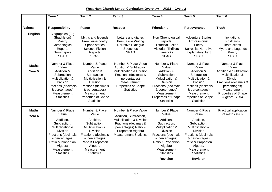#### **West Ham Church School Curriculum Overview – UKS2 – Cycle 2**

|                                   | Term 1                                                                                                                                                                                                           | Term <sub>2</sub>                                                                                                                                                                                               | Term <sub>3</sub>                                                                                                                                                                                 | Term 4                                                                                                                                                                                                                              | Term 5                                                                                                                                                                                                                       | Term 6                                                                                                                                                                                                     |
|-----------------------------------|------------------------------------------------------------------------------------------------------------------------------------------------------------------------------------------------------------------|-----------------------------------------------------------------------------------------------------------------------------------------------------------------------------------------------------------------|---------------------------------------------------------------------------------------------------------------------------------------------------------------------------------------------------|-------------------------------------------------------------------------------------------------------------------------------------------------------------------------------------------------------------------------------------|------------------------------------------------------------------------------------------------------------------------------------------------------------------------------------------------------------------------------|------------------------------------------------------------------------------------------------------------------------------------------------------------------------------------------------------------|
| <b>Values</b>                     | <b>Responsibility</b>                                                                                                                                                                                            | Peace                                                                                                                                                                                                           | <b>Respect</b>                                                                                                                                                                                    | Friendship                                                                                                                                                                                                                          | Perseverance                                                                                                                                                                                                                 | <b>Truth</b>                                                                                                                                                                                               |
| <b>English</b>                    | Biographies (E.g.<br>Shackleton)<br>Poetry<br>Chronological<br>Reports<br>Newspapers<br><b>SPAG</b>                                                                                                              | Myths and legends<br>Free verse poetry<br>Space stories<br><b>Science Fiction</b><br>Reports<br><b>SPAG</b>                                                                                                     | Letters and diaries<br>Persuasive Writing<br>Narrative Dialogue<br><b>Speeches</b><br><b>SPAG</b>                                                                                                 | Non Chronological<br>reports<br><b>Historical Fiction</b><br><b>Victorian Thrillers</b><br>Limericks<br><b>SPAG</b>                                                                                                                 | <b>Adventure Stories</b><br>Expressionist<br>Poetry<br><b>Surrealist Narrative</b><br><b>Explanatory Text</b><br><b>SPAG</b>                                                                                                 | Invitations<br>Postcards<br>Instructions<br>Myths and Legends<br>Poetry<br><b>SPAG</b>                                                                                                                     |
| <b>Maths</b><br>Year 5            | Number & Place<br>Value<br>Addition &<br>Subtraction<br>Multiplication &<br><b>Division</b><br><b>Fractions (decimals</b><br>& percentages)<br>Measurement<br><b>Statistics</b>                                  | Number & Place<br>Value<br>Addition &<br>Subtraction<br>Multiplication &<br>Division<br>Fractions (decimals<br>& percentages)<br>Measurement<br><b>Properties of Shape</b><br><b>Statistics</b>                 | Number & Place Value<br><b>Addition &amp; Subtraction</b><br>Multiplication & Division<br>Fractions (decimals &<br>percentages)<br>Measurement<br><b>Properties of Shape</b><br><b>Statistics</b> | Number & Place<br>Value<br>Addition &<br>Subtraction<br>Multiplication &<br>Division<br><b>Fractions (decimals</b><br>& percentages)<br>Measurement<br><b>Properties of Shape</b><br><b>Statistics</b>                              | Number & Place<br>Value<br>Addition &<br>Subtraction<br>Multiplication &<br>Division<br><b>Fractions (decimals</b><br>& percentages)<br>Measurement<br>Properties of Shape<br><b>Statistics</b>                              | Number & Place<br>Value<br><b>Addition &amp; Subtraction</b><br>Multiplication &<br><b>Division</b><br>Fractions (decimals &<br>percentages)<br>Measurement<br><b>Properties of Shape</b><br>Algebra (YR6) |
| <b>Maths</b><br>Year <sub>6</sub> | Number & Place<br>Value<br>Addition,<br>Subtraction,<br>Multiplication &<br><b>Division</b><br><b>Fractions (decimals</b><br>& percentages)<br>Ratio & Proportion<br>Algebra<br>Measurement<br><b>Statistics</b> | Number & Place<br>Value<br>Addition,<br>Subtraction,<br>Multiplication &<br><b>Division</b><br><b>Fractions (decimals</b><br>& percentages<br>Ratio & Proportion<br>Algebra<br>Measurement<br><b>Statistics</b> | Number & Place Value<br>Addition, Subtraction,<br>Multiplication & Division<br>Fractions (decimals &<br>percentages) Ratio &<br><b>Proportion Algebra</b><br><b>Measurement Statistics</b>        | Number & Place<br>Value<br>Addition,<br>Subtraction,<br>Multiplication &<br><b>Division</b><br><b>Fractions (decimals</b><br>& percentages)<br>Ratio & Proportion<br>Algebra<br>Measurement<br><b>Statistics</b><br><b>Revision</b> | Number & Place<br>Value<br>Addition,<br>Subtraction,<br>Multiplication &<br>Division<br><b>Fractions (decimals</b><br>& percentages)<br>Ratio & Proportion<br>Algebra<br>Measurement<br><b>Statistics</b><br><b>Revision</b> | Practical application<br>of maths skills                                                                                                                                                                   |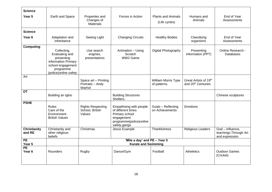| <b>Science</b><br>Year 5      | Earth and Space                                                                                                                | Properties and<br>Changes of<br><b>Materials</b>           | Forces in Action                                                                                                           | <b>Plants and Animals</b><br>(Life cycles) | Humans and<br>Animals                                               | End of Year<br>Assessments                                   |
|-------------------------------|--------------------------------------------------------------------------------------------------------------------------------|------------------------------------------------------------|----------------------------------------------------------------------------------------------------------------------------|--------------------------------------------|---------------------------------------------------------------------|--------------------------------------------------------------|
|                               |                                                                                                                                |                                                            |                                                                                                                            |                                            |                                                                     |                                                              |
| <b>Science</b>                |                                                                                                                                |                                                            |                                                                                                                            |                                            |                                                                     |                                                              |
| Year <sub>6</sub>             | Adaptation and<br>Inheritance                                                                                                  | Seeing Light                                               | <b>Changing Circuits</b>                                                                                                   | <b>Healthy Bodies</b>                      | Classifying<br>organisms                                            | End of Year<br>Assessments                                   |
| <b>Computing</b>              | Collecting,<br>Evaluating and<br>presenting<br>information Primary<br>school engagement<br>programme<br>(police) online safety | Use search<br>engines,<br>presentations                    | Animation - Using<br>Scratch<br>WW2 Game                                                                                   | Digital Photography                        | Presenting<br>information (PPT)                                     | Online Research -<br><b>Databases</b>                        |
| Art                           |                                                                                                                                | Space art - Printing<br>Portraits - Andy<br>Warhol         |                                                                                                                            | William Morris Type<br>of patterns.        | Great Artists of 19 <sup>th</sup><br>and 20 <sup>th</sup> Centuries |                                                              |
| <b>DT</b>                     | Building an Igloo                                                                                                              |                                                            | <b>Building Structures</b><br><b>Shelters</b>                                                                              |                                            |                                                                     | Chinese sculptures                                           |
| <b>PSHE</b>                   | <b>Rules</b><br>Care of the<br>Environment<br><b>British Values</b>                                                            | <b>Rights Respecting</b><br>School, British<br>Values      | Empathising with people<br>of different times<br>Primary school<br>engagement<br>programme(police) online<br>safety, gangs | Goals - Reflecting<br>on Achievements      | Emotions                                                            |                                                              |
| <b>Christianity</b><br>and RE | Christianity and<br>other religious<br>beliefs                                                                                 | Christmas                                                  | Jesus Example                                                                                                              | Thankfulness                               | Religious Leaders                                                   | God - influence,<br>teachings. Through Art<br>and expression |
| $\overline{PE}$<br>Year 5     |                                                                                                                                | 'Mile a day' and PE - Year 5<br><b>Karate and Swimming</b> |                                                                                                                            |                                            |                                                                     |                                                              |
| PE<br>Year <sub>6</sub>       | Rounders                                                                                                                       | Rugby                                                      | Dance/Gym                                                                                                                  | Football                                   | Atheletics                                                          | <b>Outdoor Games</b><br>(Cricket)                            |